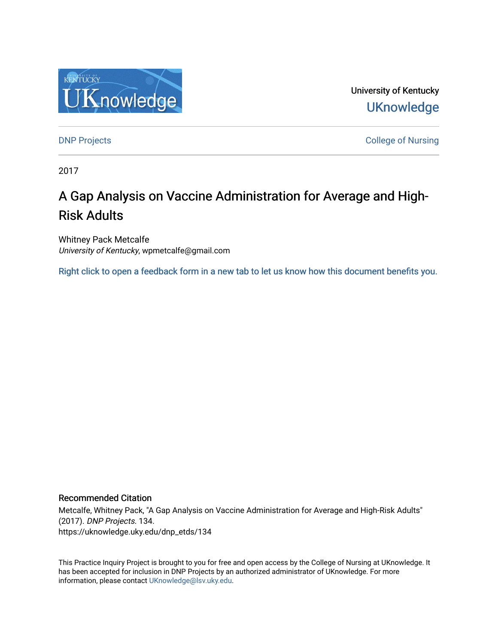

University of Kentucky **UKnowledge** 

**DNP Projects** College of Nursing

2017

# A Gap Analysis on Vaccine Administration for Average and High-Risk Adults

Whitney Pack Metcalfe University of Kentucky, wpmetcalfe@gmail.com

[Right click to open a feedback form in a new tab to let us know how this document benefits you.](https://uky.az1.qualtrics.com/jfe/form/SV_9mq8fx2GnONRfz7)

#### Recommended Citation

Metcalfe, Whitney Pack, "A Gap Analysis on Vaccine Administration for Average and High-Risk Adults" (2017). DNP Projects. 134. https://uknowledge.uky.edu/dnp\_etds/134

This Practice Inquiry Project is brought to you for free and open access by the College of Nursing at UKnowledge. It has been accepted for inclusion in DNP Projects by an authorized administrator of UKnowledge. For more information, please contact [UKnowledge@lsv.uky.edu](mailto:UKnowledge@lsv.uky.edu).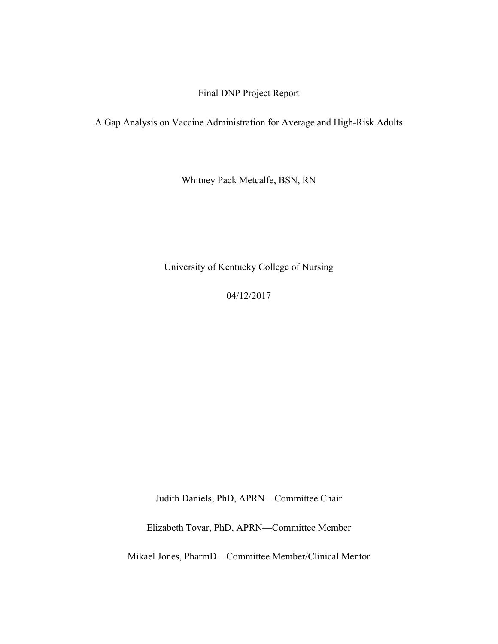## Final DNP Project Report

A Gap Analysis on Vaccine Administration for Average and High-Risk Adults

Whitney Pack Metcalfe, BSN, RN

University of Kentucky College of Nursing

04/12/2017

Judith Daniels, PhD, APRN—Committee Chair

Elizabeth Tovar, PhD, APRN—Committee Member

Mikael Jones, PharmD—Committee Member/Clinical Mentor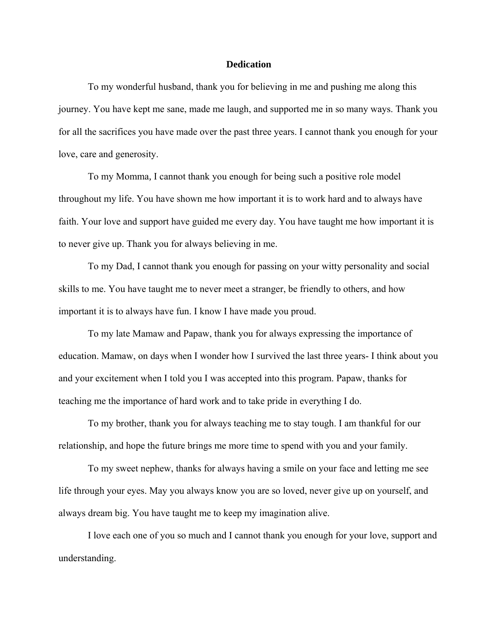#### **Dedication**

 To my wonderful husband, thank you for believing in me and pushing me along this journey. You have kept me sane, made me laugh, and supported me in so many ways. Thank you for all the sacrifices you have made over the past three years. I cannot thank you enough for your love, care and generosity.

To my Momma*,* I cannot thank you enough for being such a positive role model throughout my life. You have shown me how important it is to work hard and to always have faith. Your love and support have guided me every day. You have taught me how important it is to never give up. Thank you for always believing in me.

 To my Dad, I cannot thank you enough for passing on your witty personality and social skills to me. You have taught me to never meet a stranger, be friendly to others, and how important it is to always have fun. I know I have made you proud.

To my late Mamaw and Papaw, thank you for always expressing the importance of education. Mamaw, on days when I wonder how I survived the last three years- I think about you and your excitement when I told you I was accepted into this program. Papaw, thanks for teaching me the importance of hard work and to take pride in everything I do.

To my brother, thank you for always teaching me to stay tough. I am thankful for our relationship, and hope the future brings me more time to spend with you and your family.

To my sweet nephew, thanks for always having a smile on your face and letting me see life through your eyes. May you always know you are so loved, never give up on yourself, and always dream big. You have taught me to keep my imagination alive.

I love each one of you so much and I cannot thank you enough for your love, support and understanding.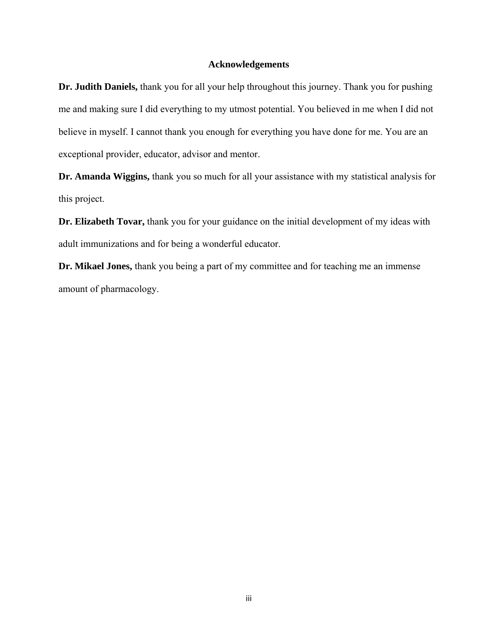#### **Acknowledgements**

**Dr. Judith Daniels,** thank you for all your help throughout this journey. Thank you for pushing me and making sure I did everything to my utmost potential. You believed in me when I did not believe in myself. I cannot thank you enough for everything you have done for me. You are an exceptional provider, educator, advisor and mentor.

**Dr. Amanda Wiggins,** thank you so much for all your assistance with my statistical analysis for this project.

**Dr. Elizabeth Tovar,** thank you for your guidance on the initial development of my ideas with adult immunizations and for being a wonderful educator.

**Dr. Mikael Jones,** thank you being a part of my committee and for teaching me an immense amount of pharmacology.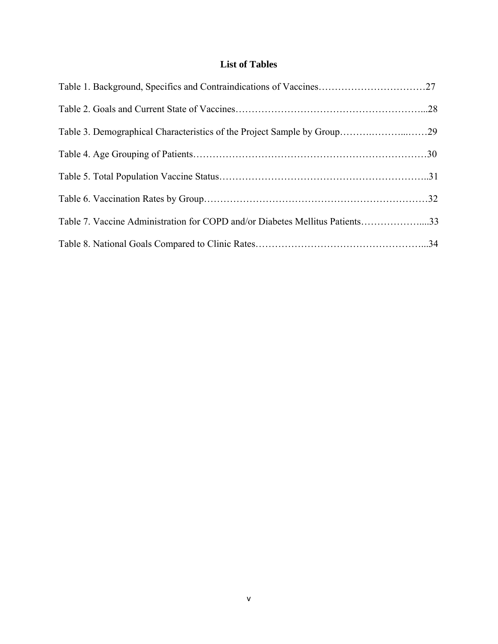## **List of Tables**

| Table 3. Demographical Characteristics of the Project Sample by Group29      |  |
|------------------------------------------------------------------------------|--|
|                                                                              |  |
|                                                                              |  |
|                                                                              |  |
| Table 7. Vaccine Administration for COPD and/or Diabetes Mellitus Patients33 |  |
|                                                                              |  |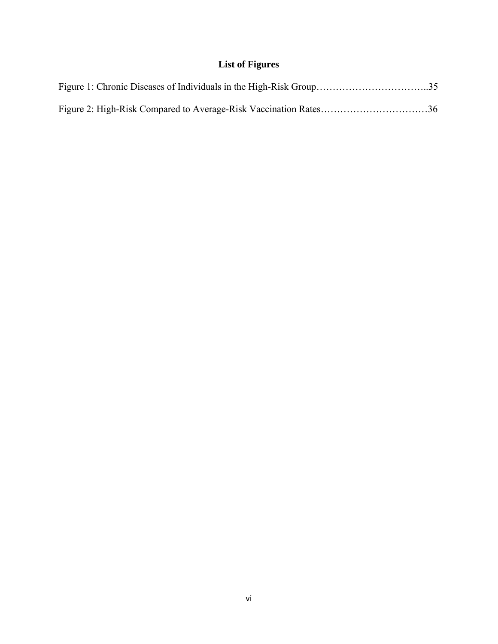## **List of Figures**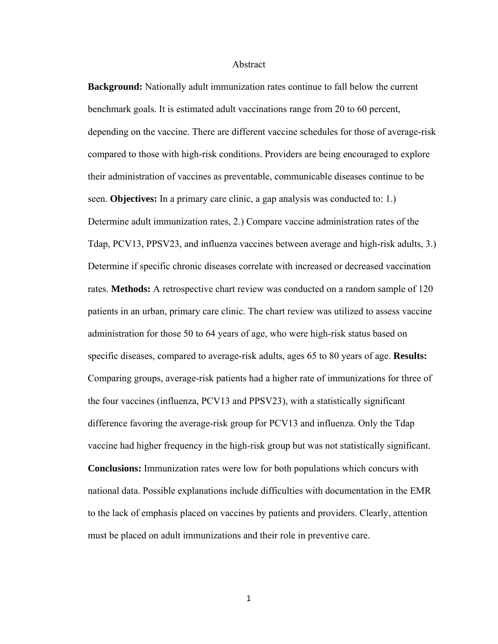#### Abstract

**Background:** Nationally adult immunization rates continue to fall below the current benchmark goals. It is estimated adult vaccinations range from 20 to 60 percent, depending on the vaccine. There are different vaccine schedules for those of average-risk compared to those with high-risk conditions. Providers are being encouraged to explore their administration of vaccines as preventable, communicable diseases continue to be seen. **Objectives:** In a primary care clinic, a gap analysis was conducted to: 1.) Determine adult immunization rates, 2.) Compare vaccine administration rates of the Tdap, PCV13, PPSV23, and influenza vaccines between average and high-risk adults, 3.) Determine if specific chronic diseases correlate with increased or decreased vaccination rates. **Methods:** A retrospective chart review was conducted on a random sample of 120 patients in an urban, primary care clinic. The chart review was utilized to assess vaccine administration for those 50 to 64 years of age, who were high-risk status based on specific diseases, compared to average-risk adults, ages 65 to 80 years of age. **Results:**  Comparing groups, average-risk patients had a higher rate of immunizations for three of the four vaccines (influenza, PCV13 and PPSV23), with a statistically significant difference favoring the average-risk group for PCV13 and influenza. Only the Tdap vaccine had higher frequency in the high-risk group but was not statistically significant. **Conclusions:** Immunization rates were low for both populations which concurs with national data. Possible explanations include difficulties with documentation in the EMR to the lack of emphasis placed on vaccines by patients and providers. Clearly, attention must be placed on adult immunizations and their role in preventive care.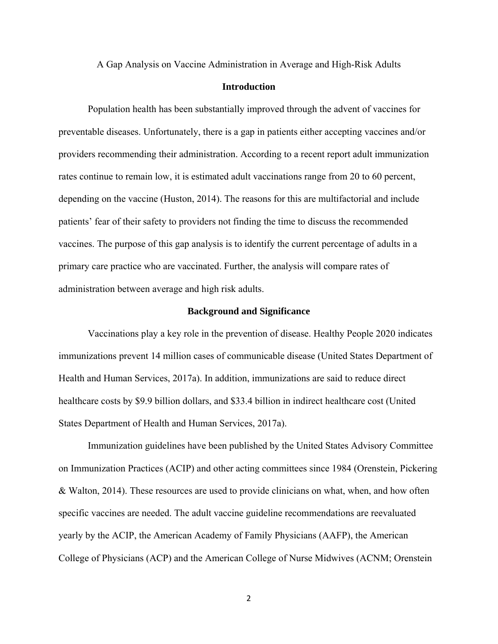A Gap Analysis on Vaccine Administration in Average and High-Risk Adults

## **Introduction**

Population health has been substantially improved through the advent of vaccines for preventable diseases. Unfortunately, there is a gap in patients either accepting vaccines and/or providers recommending their administration. According to a recent report adult immunization rates continue to remain low, it is estimated adult vaccinations range from 20 to 60 percent, depending on the vaccine (Huston, 2014). The reasons for this are multifactorial and include patients' fear of their safety to providers not finding the time to discuss the recommended vaccines. The purpose of this gap analysis is to identify the current percentage of adults in a primary care practice who are vaccinated. Further, the analysis will compare rates of administration between average and high risk adults.

#### **Background and Significance**

Vaccinations play a key role in the prevention of disease. Healthy People 2020 indicates immunizations prevent 14 million cases of communicable disease (United States Department of Health and Human Services, 2017a). In addition, immunizations are said to reduce direct healthcare costs by \$9.9 billion dollars, and \$33.4 billion in indirect healthcare cost (United States Department of Health and Human Services, 2017a).

Immunization guidelines have been published by the United States Advisory Committee on Immunization Practices (ACIP) and other acting committees since 1984 (Orenstein, Pickering & Walton, 2014). These resources are used to provide clinicians on what, when, and how often specific vaccines are needed. The adult vaccine guideline recommendations are reevaluated yearly by the ACIP, the American Academy of Family Physicians (AAFP), the American College of Physicians (ACP) and the American College of Nurse Midwives (ACNM; Orenstein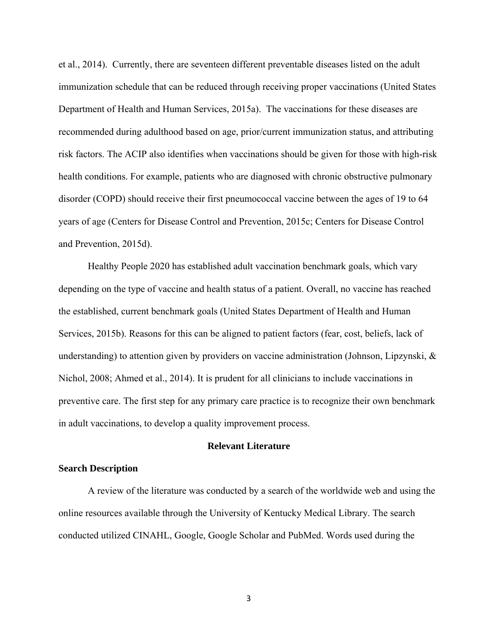et al., 2014). Currently, there are seventeen different preventable diseases listed on the adult immunization schedule that can be reduced through receiving proper vaccinations (United States Department of Health and Human Services, 2015a). The vaccinations for these diseases are recommended during adulthood based on age, prior/current immunization status, and attributing risk factors. The ACIP also identifies when vaccinations should be given for those with high-risk health conditions. For example, patients who are diagnosed with chronic obstructive pulmonary disorder (COPD) should receive their first pneumococcal vaccine between the ages of 19 to 64 years of age (Centers for Disease Control and Prevention, 2015c; Centers for Disease Control and Prevention, 2015d).

Healthy People 2020 has established adult vaccination benchmark goals, which vary depending on the type of vaccine and health status of a patient. Overall, no vaccine has reached the established, current benchmark goals (United States Department of Health and Human Services, 2015b). Reasons for this can be aligned to patient factors (fear, cost, beliefs, lack of understanding) to attention given by providers on vaccine administration (Johnson, Lipzynski, & Nichol, 2008; Ahmed et al., 2014). It is prudent for all clinicians to include vaccinations in preventive care. The first step for any primary care practice is to recognize their own benchmark in adult vaccinations, to develop a quality improvement process.

#### **Relevant Literature**

#### **Search Description**

A review of the literature was conducted by a search of the worldwide web and using the online resources available through the University of Kentucky Medical Library. The search conducted utilized CINAHL, Google, Google Scholar and PubMed. Words used during the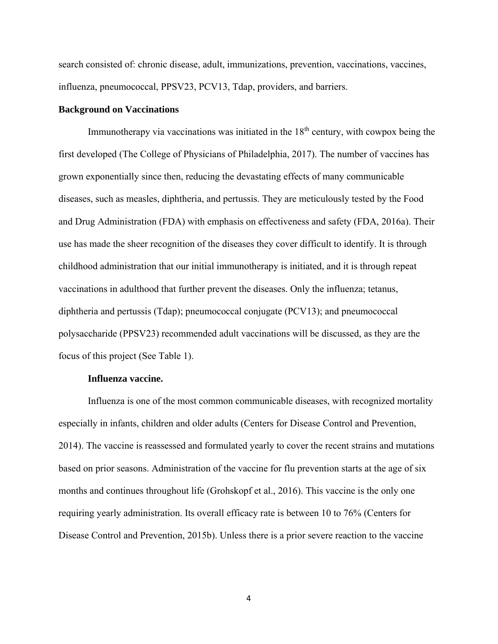search consisted of: chronic disease, adult, immunizations, prevention, vaccinations, vaccines, influenza, pneumococcal, PPSV23, PCV13, Tdap, providers, and barriers.

#### **Background on Vaccinations**

Immunotherapy via vaccinations was initiated in the  $18<sup>th</sup>$  century, with cowpox being the first developed (The College of Physicians of Philadelphia, 2017). The number of vaccines has grown exponentially since then, reducing the devastating effects of many communicable diseases, such as measles, diphtheria, and pertussis. They are meticulously tested by the Food and Drug Administration (FDA) with emphasis on effectiveness and safety (FDA, 2016a). Their use has made the sheer recognition of the diseases they cover difficult to identify. It is through childhood administration that our initial immunotherapy is initiated, and it is through repeat vaccinations in adulthood that further prevent the diseases. Only the influenza; tetanus, diphtheria and pertussis (Tdap); pneumococcal conjugate (PCV13); and pneumococcal polysaccharide (PPSV23) recommended adult vaccinations will be discussed, as they are the focus of this project (See Table 1).

#### **Influenza vaccine.**

 Influenza is one of the most common communicable diseases, with recognized mortality especially in infants, children and older adults (Centers for Disease Control and Prevention, 2014). The vaccine is reassessed and formulated yearly to cover the recent strains and mutations based on prior seasons. Administration of the vaccine for flu prevention starts at the age of six months and continues throughout life (Grohskopf et al., 2016). This vaccine is the only one requiring yearly administration. Its overall efficacy rate is between 10 to 76% (Centers for Disease Control and Prevention, 2015b). Unless there is a prior severe reaction to the vaccine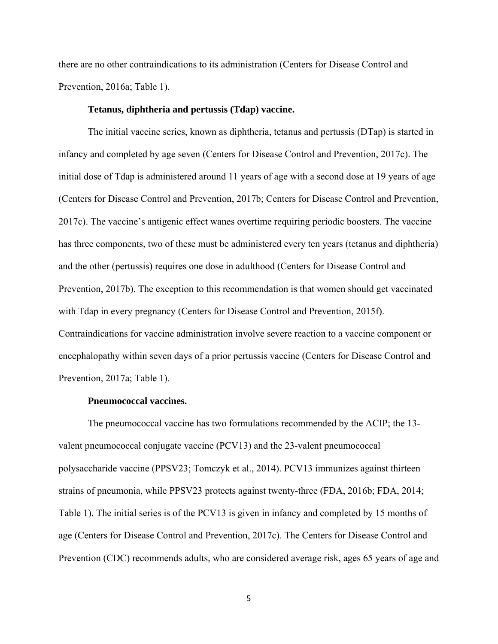there are no other contraindications to its administration (Centers for Disease Control and Prevention, 2016a; Table 1).

#### **Tetanus, diphtheria and pertussis (Tdap) vaccine.**

 The initial vaccine series, known as diphtheria, tetanus and pertussis (DTap) is started in infancy and completed by age seven (Centers for Disease Control and Prevention, 2017c). The initial dose of Tdap is administered around 11 years of age with a second dose at 19 years of age (Centers for Disease Control and Prevention, 2017b; Centers for Disease Control and Prevention, 2017c). The vaccine's antigenic effect wanes overtime requiring periodic boosters. The vaccine has three components, two of these must be administered every ten years (tetanus and diphtheria) and the other (pertussis) requires one dose in adulthood (Centers for Disease Control and Prevention, 2017b). The exception to this recommendation is that women should get vaccinated with Tdap in every pregnancy (Centers for Disease Control and Prevention, 2015f). Contraindications for vaccine administration involve severe reaction to a vaccine component or encephalopathy within seven days of a prior pertussis vaccine (Centers for Disease Control and Prevention, 2017a; Table 1).

#### **Pneumococcal vaccines.**

 The pneumococcal vaccine has two formulations recommended by the ACIP; the 13 valent pneumococcal conjugate vaccine (PCV13) and the 23-valent pneumococcal polysaccharide vaccine (PPSV23; Tomczyk et al., 2014). PCV13 immunizes against thirteen strains of pneumonia, while PPSV23 protects against twenty-three (FDA, 2016b; FDA, 2014; Table 1). The initial series is of the PCV13 is given in infancy and completed by 15 months of age (Centers for Disease Control and Prevention, 2017c). The Centers for Disease Control and Prevention (CDC) recommends adults, who are considered average risk, ages 65 years of age and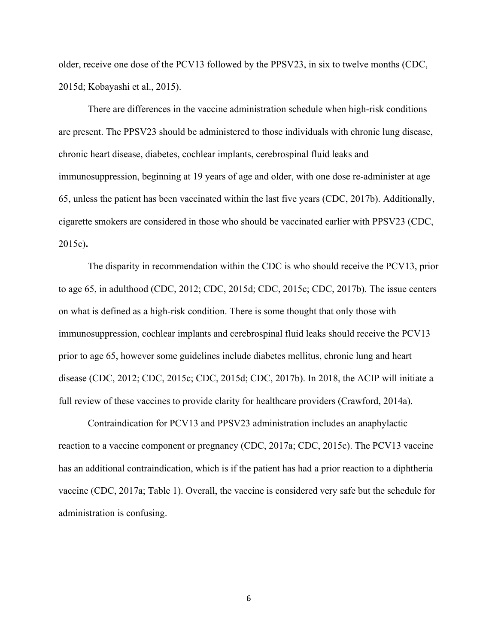older, receive one dose of the PCV13 followed by the PPSV23, in six to twelve months (CDC, 2015d; Kobayashi et al., 2015).

There are differences in the vaccine administration schedule when high-risk conditions are present. The PPSV23 should be administered to those individuals with chronic lung disease, chronic heart disease, diabetes, cochlear implants, cerebrospinal fluid leaks and immunosuppression, beginning at 19 years of age and older, with one dose re-administer at age 65, unless the patient has been vaccinated within the last five years (CDC, 2017b). Additionally, cigarette smokers are considered in those who should be vaccinated earlier with PPSV23 (CDC, 2015c)**.** 

The disparity in recommendation within the CDC is who should receive the PCV13, prior to age 65, in adulthood (CDC, 2012; CDC, 2015d; CDC, 2015c; CDC, 2017b). The issue centers on what is defined as a high-risk condition. There is some thought that only those with immunosuppression, cochlear implants and cerebrospinal fluid leaks should receive the PCV13 prior to age 65, however some guidelines include diabetes mellitus, chronic lung and heart disease (CDC, 2012; CDC, 2015c; CDC, 2015d; CDC, 2017b). In 2018, the ACIP will initiate a full review of these vaccines to provide clarity for healthcare providers (Crawford, 2014a).

 Contraindication for PCV13 and PPSV23 administration includes an anaphylactic reaction to a vaccine component or pregnancy (CDC, 2017a; CDC, 2015c). The PCV13 vaccine has an additional contraindication, which is if the patient has had a prior reaction to a diphtheria vaccine (CDC, 2017a; Table 1). Overall, the vaccine is considered very safe but the schedule for administration is confusing.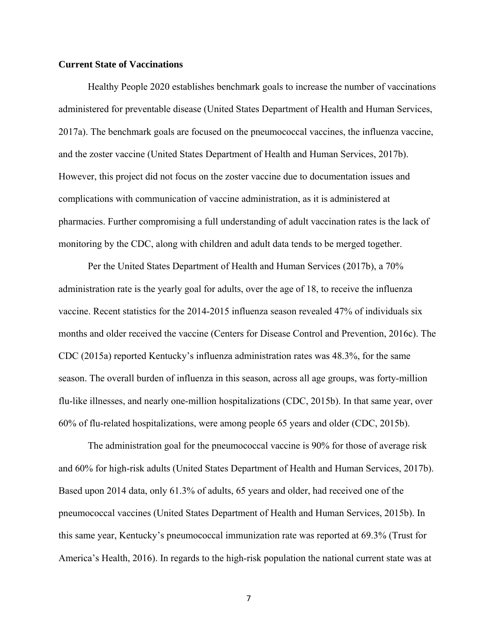#### **Current State of Vaccinations**

Healthy People 2020 establishes benchmark goals to increase the number of vaccinations administered for preventable disease (United States Department of Health and Human Services, 2017a). The benchmark goals are focused on the pneumococcal vaccines, the influenza vaccine, and the zoster vaccine (United States Department of Health and Human Services, 2017b). However, this project did not focus on the zoster vaccine due to documentation issues and complications with communication of vaccine administration, as it is administered at pharmacies. Further compromising a full understanding of adult vaccination rates is the lack of monitoring by the CDC, along with children and adult data tends to be merged together.

Per the United States Department of Health and Human Services (2017b), a 70% administration rate is the yearly goal for adults, over the age of 18, to receive the influenza vaccine. Recent statistics for the 2014-2015 influenza season revealed 47% of individuals six months and older received the vaccine (Centers for Disease Control and Prevention, 2016c). The CDC (2015a) reported Kentucky's influenza administration rates was 48.3%, for the same season. The overall burden of influenza in this season, across all age groups, was forty-million flu-like illnesses, and nearly one-million hospitalizations (CDC, 2015b). In that same year, over 60% of flu-related hospitalizations, were among people 65 years and older (CDC, 2015b).

The administration goal for the pneumococcal vaccine is 90% for those of average risk and 60% for high-risk adults (United States Department of Health and Human Services, 2017b). Based upon 2014 data, only 61.3% of adults, 65 years and older, had received one of the pneumococcal vaccines (United States Department of Health and Human Services, 2015b). In this same year, Kentucky's pneumococcal immunization rate was reported at 69.3% (Trust for America's Health, 2016). In regards to the high-risk population the national current state was at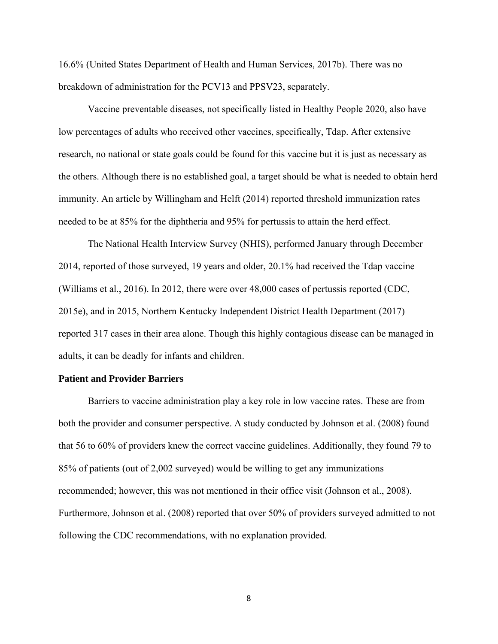16.6% (United States Department of Health and Human Services, 2017b). There was no breakdown of administration for the PCV13 and PPSV23, separately.

Vaccine preventable diseases, not specifically listed in Healthy People 2020, also have low percentages of adults who received other vaccines, specifically, Tdap. After extensive research, no national or state goals could be found for this vaccine but it is just as necessary as the others. Although there is no established goal, a target should be what is needed to obtain herd immunity. An article by Willingham and Helft (2014) reported threshold immunization rates needed to be at 85% for the diphtheria and 95% for pertussis to attain the herd effect.

The National Health Interview Survey (NHIS), performed January through December 2014, reported of those surveyed, 19 years and older, 20.1% had received the Tdap vaccine (Williams et al., 2016). In 2012, there were over 48,000 cases of pertussis reported (CDC, 2015e), and in 2015, Northern Kentucky Independent District Health Department (2017) reported 317 cases in their area alone. Though this highly contagious disease can be managed in adults, it can be deadly for infants and children.

#### **Patient and Provider Barriers**

Barriers to vaccine administration play a key role in low vaccine rates. These are from both the provider and consumer perspective. A study conducted by Johnson et al. (2008) found that 56 to 60% of providers knew the correct vaccine guidelines. Additionally, they found 79 to 85% of patients (out of 2,002 surveyed) would be willing to get any immunizations recommended; however, this was not mentioned in their office visit (Johnson et al., 2008). Furthermore, Johnson et al. (2008) reported that over 50% of providers surveyed admitted to not following the CDC recommendations, with no explanation provided.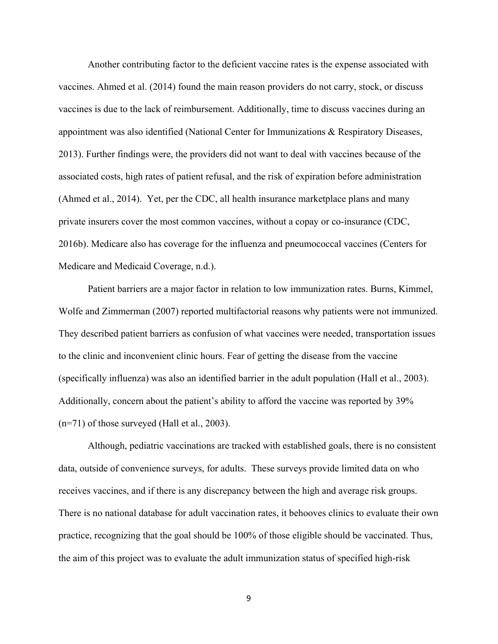Another contributing factor to the deficient vaccine rates is the expense associated with vaccines. Ahmed et al. (2014) found the main reason providers do not carry, stock, or discuss vaccines is due to the lack of reimbursement. Additionally, time to discuss vaccines during an appointment was also identified (National Center for Immunizations & Respiratory Diseases, 2013). Further findings were, the providers did not want to deal with vaccines because of the associated costs, high rates of patient refusal, and the risk of expiration before administration (Ahmed et al., 2014). Yet, per the CDC, all health insurance marketplace plans and many private insurers cover the most common vaccines, without a copay or co-insurance (CDC, 2016b). Medicare also has coverage for the influenza and pneumococcal vaccines (Centers for Medicare and Medicaid Coverage, n.d.).

 Patient barriers are a major factor in relation to low immunization rates. Burns, Kimmel, Wolfe and Zimmerman (2007) reported multifactorial reasons why patients were not immunized. They described patient barriers as confusion of what vaccines were needed, transportation issues to the clinic and inconvenient clinic hours. Fear of getting the disease from the vaccine (specifically influenza) was also an identified barrier in the adult population (Hall et al., 2003). Additionally, concern about the patient's ability to afford the vaccine was reported by 39% (n=71) of those surveyed (Hall et al., 2003).

Although, pediatric vaccinations are tracked with established goals, there is no consistent data, outside of convenience surveys, for adults. These surveys provide limited data on who receives vaccines, and if there is any discrepancy between the high and average risk groups. There is no national database for adult vaccination rates, it behooves clinics to evaluate their own practice, recognizing that the goal should be 100% of those eligible should be vaccinated. Thus, the aim of this project was to evaluate the adult immunization status of specified high-risk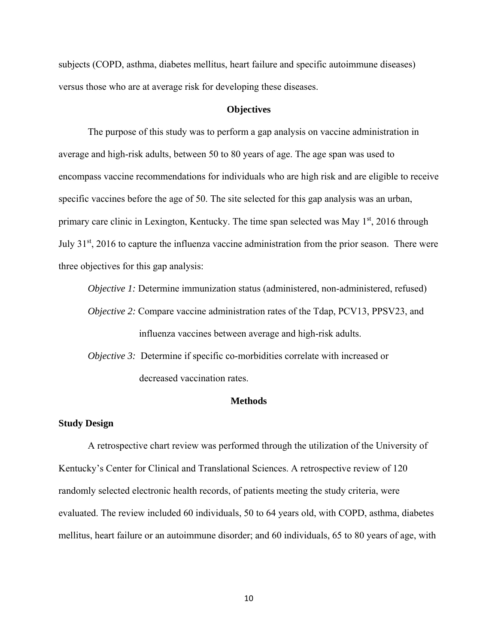subjects (COPD, asthma, diabetes mellitus, heart failure and specific autoimmune diseases) versus those who are at average risk for developing these diseases.

#### **Objectives**

The purpose of this study was to perform a gap analysis on vaccine administration in average and high-risk adults, between 50 to 80 years of age. The age span was used to encompass vaccine recommendations for individuals who are high risk and are eligible to receive specific vaccines before the age of 50. The site selected for this gap analysis was an urban, primary care clinic in Lexington, Kentucky. The time span selected was May  $1<sup>st</sup>$ , 2016 through July 31st, 2016 to capture the influenza vaccine administration from the prior season. There were three objectives for this gap analysis:

*Objective 1:* Determine immunization status (administered, non-administered, refused) *Objective 2:* Compare vaccine administration rates of the Tdap, PCV13, PPSV23, and influenza vaccines between average and high-risk adults.

*Objective 3:* Determine if specific co-morbidities correlate with increased or decreased vaccination rates.

#### **Methods**

#### **Study Design**

A retrospective chart review was performed through the utilization of the University of Kentucky's Center for Clinical and Translational Sciences. A retrospective review of 120 randomly selected electronic health records, of patients meeting the study criteria, were evaluated. The review included 60 individuals, 50 to 64 years old, with COPD, asthma, diabetes mellitus, heart failure or an autoimmune disorder; and 60 individuals, 65 to 80 years of age, with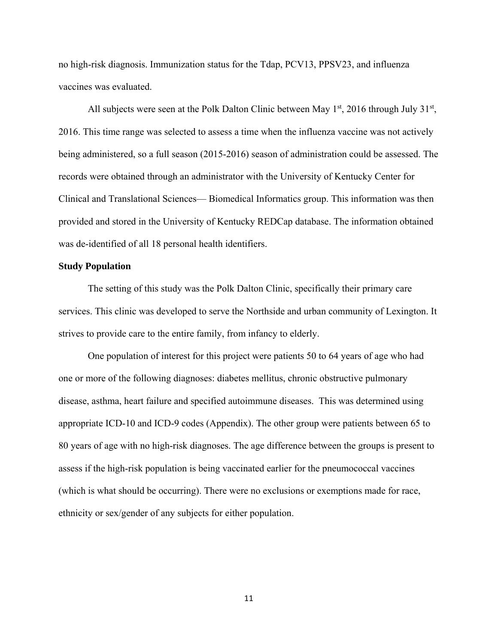no high-risk diagnosis. Immunization status for the Tdap, PCV13, PPSV23, and influenza vaccines was evaluated.

All subjects were seen at the Polk Dalton Clinic between May  $1<sup>st</sup>$ , 2016 through July  $31<sup>st</sup>$ , 2016. This time range was selected to assess a time when the influenza vaccine was not actively being administered, so a full season (2015-2016) season of administration could be assessed. The records were obtained through an administrator with the University of Kentucky Center for Clinical and Translational Sciences— Biomedical Informatics group. This information was then provided and stored in the University of Kentucky REDCap database. The information obtained was de-identified of all 18 personal health identifiers.

#### **Study Population**

The setting of this study was the Polk Dalton Clinic, specifically their primary care services. This clinic was developed to serve the Northside and urban community of Lexington. It strives to provide care to the entire family, from infancy to elderly.

One population of interest for this project were patients 50 to 64 years of age who had one or more of the following diagnoses: diabetes mellitus, chronic obstructive pulmonary disease, asthma, heart failure and specified autoimmune diseases. This was determined using appropriate ICD-10 and ICD-9 codes (Appendix). The other group were patients between 65 to 80 years of age with no high-risk diagnoses. The age difference between the groups is present to assess if the high-risk population is being vaccinated earlier for the pneumococcal vaccines (which is what should be occurring). There were no exclusions or exemptions made for race, ethnicity or sex/gender of any subjects for either population.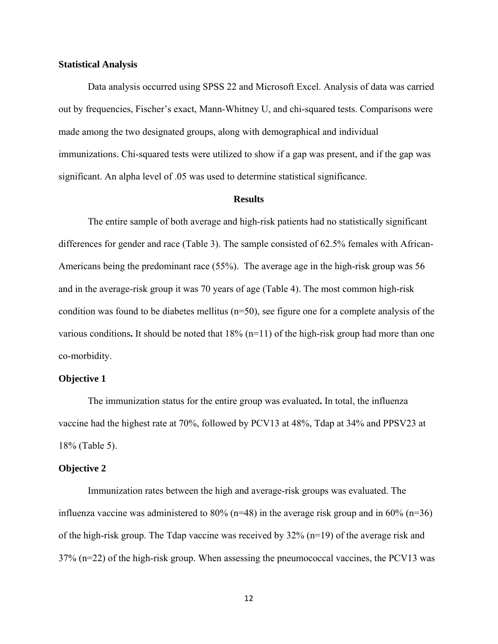#### **Statistical Analysis**

 Data analysis occurred using SPSS 22 and Microsoft Excel. Analysis of data was carried out by frequencies, Fischer's exact, Mann-Whitney U, and chi-squared tests. Comparisons were made among the two designated groups, along with demographical and individual immunizations. Chi-squared tests were utilized to show if a gap was present, and if the gap was significant. An alpha level of .05 was used to determine statistical significance.

#### **Results**

The entire sample of both average and high-risk patients had no statistically significant differences for gender and race (Table 3). The sample consisted of 62.5% females with African-Americans being the predominant race (55%). The average age in the high-risk group was 56 and in the average-risk group it was 70 years of age (Table 4). The most common high-risk condition was found to be diabetes mellitus  $(n=50)$ , see figure one for a complete analysis of the various conditions**.** It should be noted that 18% (n=11) of the high-risk group had more than one co-morbidity.

#### **Objective 1**

The immunization status for the entire group was evaluated**.** In total, the influenza vaccine had the highest rate at 70%, followed by PCV13 at 48%, Tdap at 34% and PPSV23 at 18% (Table 5).

#### **Objective 2**

Immunization rates between the high and average-risk groups was evaluated. The influenza vaccine was administered to 80% ( $n=48$ ) in the average risk group and in 60% ( $n=36$ ) of the high-risk group. The Tdap vaccine was received by 32% (n=19) of the average risk and 37% (n=22) of the high-risk group. When assessing the pneumococcal vaccines, the PCV13 was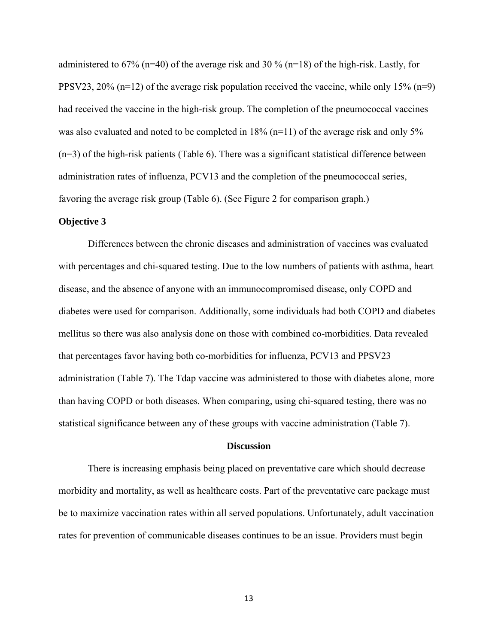administered to 67% (n=40) of the average risk and 30 % (n=18) of the high-risk. Lastly, for PPSV23, 20% (n=12) of the average risk population received the vaccine, while only 15% (n=9) had received the vaccine in the high-risk group. The completion of the pneumococcal vaccines was also evaluated and noted to be completed in 18% (n=11) of the average risk and only 5% (n=3) of the high-risk patients (Table 6). There was a significant statistical difference between administration rates of influenza, PCV13 and the completion of the pneumococcal series, favoring the average risk group (Table 6). (See Figure 2 for comparison graph.)

### **Objective 3**

Differences between the chronic diseases and administration of vaccines was evaluated with percentages and chi-squared testing. Due to the low numbers of patients with asthma, heart disease, and the absence of anyone with an immunocompromised disease, only COPD and diabetes were used for comparison. Additionally, some individuals had both COPD and diabetes mellitus so there was also analysis done on those with combined co-morbidities. Data revealed that percentages favor having both co-morbidities for influenza, PCV13 and PPSV23 administration (Table 7). The Tdap vaccine was administered to those with diabetes alone, more than having COPD or both diseases. When comparing, using chi-squared testing, there was no statistical significance between any of these groups with vaccine administration (Table 7).

#### **Discussion**

 There is increasing emphasis being placed on preventative care which should decrease morbidity and mortality, as well as healthcare costs. Part of the preventative care package must be to maximize vaccination rates within all served populations. Unfortunately, adult vaccination rates for prevention of communicable diseases continues to be an issue. Providers must begin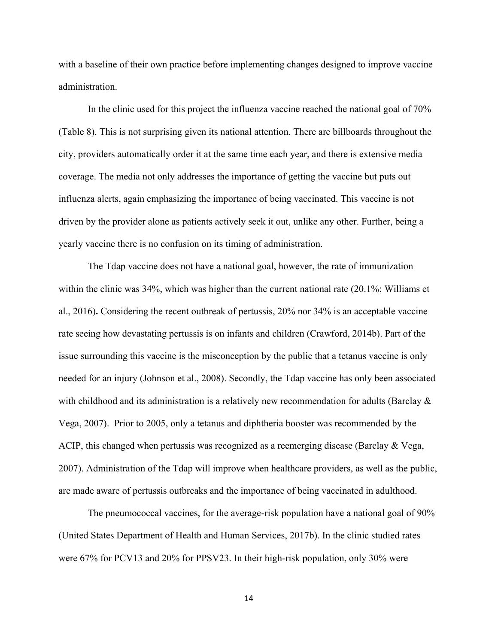with a baseline of their own practice before implementing changes designed to improve vaccine administration.

 In the clinic used for this project the influenza vaccine reached the national goal of 70% (Table 8). This is not surprising given its national attention. There are billboards throughout the city, providers automatically order it at the same time each year, and there is extensive media coverage. The media not only addresses the importance of getting the vaccine but puts out influenza alerts, again emphasizing the importance of being vaccinated. This vaccine is not driven by the provider alone as patients actively seek it out, unlike any other. Further, being a yearly vaccine there is no confusion on its timing of administration.

The Tdap vaccine does not have a national goal, however, the rate of immunization within the clinic was 34%, which was higher than the current national rate (20.1%; Williams et al., 2016)**.** Considering the recent outbreak of pertussis, 20% nor 34% is an acceptable vaccine rate seeing how devastating pertussis is on infants and children (Crawford, 2014b). Part of the issue surrounding this vaccine is the misconception by the public that a tetanus vaccine is only needed for an injury (Johnson et al., 2008). Secondly, the Tdap vaccine has only been associated with childhood and its administration is a relatively new recommendation for adults (Barclay  $\&$ Vega, 2007). Prior to 2005, only a tetanus and diphtheria booster was recommended by the ACIP, this changed when pertussis was recognized as a reemerging disease (Barclay & Vega, 2007). Administration of the Tdap will improve when healthcare providers, as well as the public, are made aware of pertussis outbreaks and the importance of being vaccinated in adulthood.

The pneumococcal vaccines, for the average-risk population have a national goal of 90% (United States Department of Health and Human Services, 2017b). In the clinic studied rates were 67% for PCV13 and 20% for PPSV23. In their high-risk population, only 30% were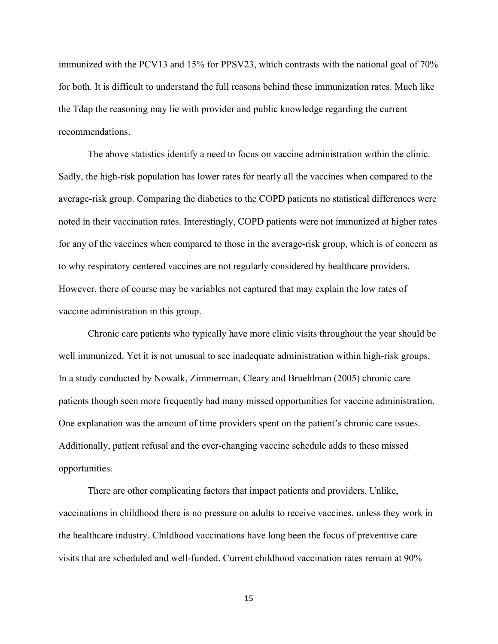immunized with the PCV13 and 15% for PPSV23, which contrasts with the national goal of 70% for both. It is difficult to understand the full reasons behind these immunization rates. Much like the Tdap the reasoning may lie with provider and public knowledge regarding the current recommendations.

 The above statistics identify a need to focus on vaccine administration within the clinic. Sadly, the high-risk population has lower rates for nearly all the vaccines when compared to the average-risk group. Comparing the diabetics to the COPD patients no statistical differences were noted in their vaccination rates. Interestingly, COPD patients were not immunized at higher rates for any of the vaccines when compared to those in the average-risk group, which is of concern as to why respiratory centered vaccines are not regularly considered by healthcare providers. However, there of course may be variables not captured that may explain the low rates of vaccine administration in this group.

Chronic care patients who typically have more clinic visits throughout the year should be well immunized. Yet it is not unusual to see inadequate administration within high-risk groups. In a study conducted by Nowalk, Zimmerman, Cleary and Bruehlman (2005) chronic care patients though seen more frequently had many missed opportunities for vaccine administration. One explanation was the amount of time providers spent on the patient's chronic care issues. Additionally, patient refusal and the ever-changing vaccine schedule adds to these missed opportunities.

There are other complicating factors that impact patients and providers. Unlike, vaccinations in childhood there is no pressure on adults to receive vaccines, unless they work in the healthcare industry. Childhood vaccinations have long been the focus of preventive care visits that are scheduled and well-funded. Current childhood vaccination rates remain at 90%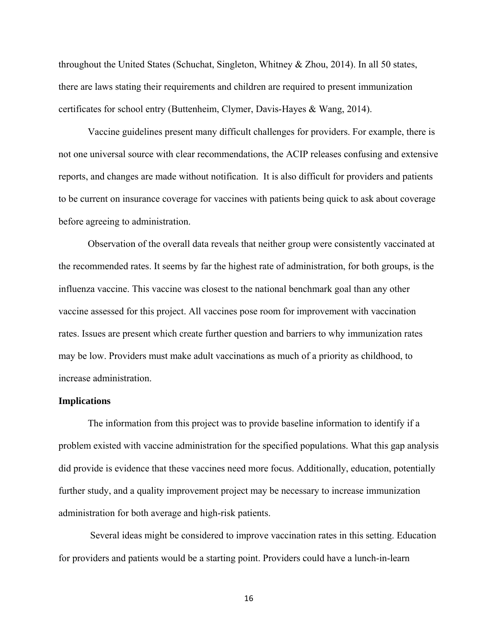throughout the United States (Schuchat, Singleton, Whitney & Zhou, 2014). In all 50 states, there are laws stating their requirements and children are required to present immunization certificates for school entry (Buttenheim, Clymer, Davis-Hayes & Wang, 2014).

Vaccine guidelines present many difficult challenges for providers. For example, there is not one universal source with clear recommendations, the ACIP releases confusing and extensive reports, and changes are made without notification. It is also difficult for providers and patients to be current on insurance coverage for vaccines with patients being quick to ask about coverage before agreeing to administration.

Observation of the overall data reveals that neither group were consistently vaccinated at the recommended rates. It seems by far the highest rate of administration, for both groups, is the influenza vaccine. This vaccine was closest to the national benchmark goal than any other vaccine assessed for this project. All vaccines pose room for improvement with vaccination rates. Issues are present which create further question and barriers to why immunization rates may be low. Providers must make adult vaccinations as much of a priority as childhood, to increase administration.

#### **Implications**

The information from this project was to provide baseline information to identify if a problem existed with vaccine administration for the specified populations. What this gap analysis did provide is evidence that these vaccines need more focus. Additionally, education, potentially further study, and a quality improvement project may be necessary to increase immunization administration for both average and high-risk patients.

 Several ideas might be considered to improve vaccination rates in this setting. Education for providers and patients would be a starting point. Providers could have a lunch-in-learn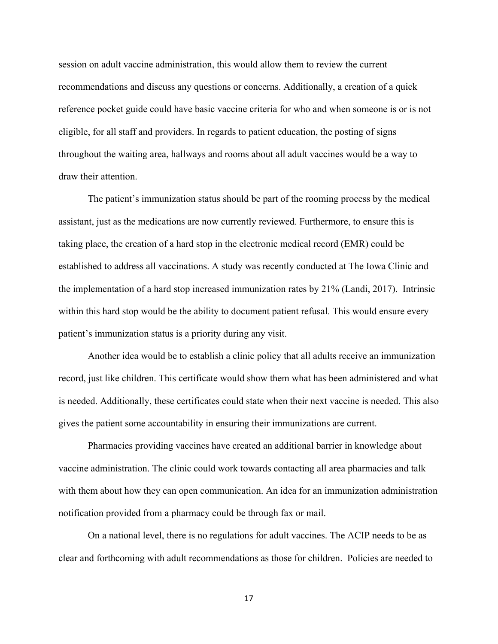session on adult vaccine administration, this would allow them to review the current recommendations and discuss any questions or concerns. Additionally, a creation of a quick reference pocket guide could have basic vaccine criteria for who and when someone is or is not eligible, for all staff and providers. In regards to patient education, the posting of signs throughout the waiting area, hallways and rooms about all adult vaccines would be a way to draw their attention.

The patient's immunization status should be part of the rooming process by the medical assistant, just as the medications are now currently reviewed. Furthermore, to ensure this is taking place, the creation of a hard stop in the electronic medical record (EMR) could be established to address all vaccinations. A study was recently conducted at The Iowa Clinic and the implementation of a hard stop increased immunization rates by 21% (Landi, 2017). Intrinsic within this hard stop would be the ability to document patient refusal. This would ensure every patient's immunization status is a priority during any visit.

Another idea would be to establish a clinic policy that all adults receive an immunization record, just like children. This certificate would show them what has been administered and what is needed. Additionally, these certificates could state when their next vaccine is needed. This also gives the patient some accountability in ensuring their immunizations are current.

 Pharmacies providing vaccines have created an additional barrier in knowledge about vaccine administration. The clinic could work towards contacting all area pharmacies and talk with them about how they can open communication. An idea for an immunization administration notification provided from a pharmacy could be through fax or mail.

 On a national level, there is no regulations for adult vaccines. The ACIP needs to be as clear and forthcoming with adult recommendations as those for children. Policies are needed to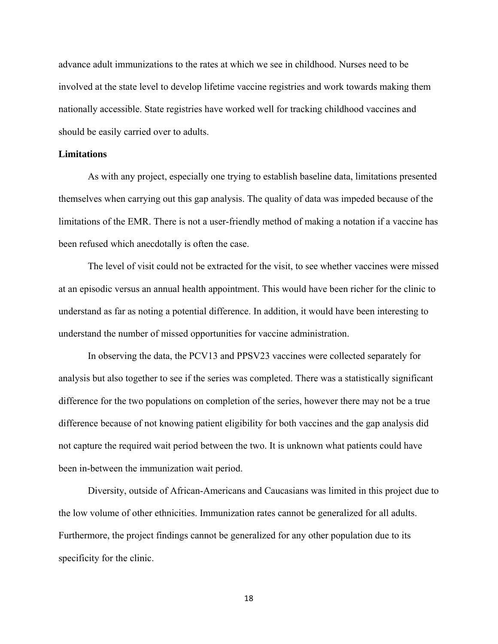advance adult immunizations to the rates at which we see in childhood. Nurses need to be involved at the state level to develop lifetime vaccine registries and work towards making them nationally accessible. State registries have worked well for tracking childhood vaccines and should be easily carried over to adults.

#### **Limitations**

As with any project, especially one trying to establish baseline data, limitations presented themselves when carrying out this gap analysis. The quality of data was impeded because of the limitations of the EMR. There is not a user-friendly method of making a notation if a vaccine has been refused which anecdotally is often the case.

 The level of visit could not be extracted for the visit, to see whether vaccines were missed at an episodic versus an annual health appointment. This would have been richer for the clinic to understand as far as noting a potential difference. In addition, it would have been interesting to understand the number of missed opportunities for vaccine administration.

 In observing the data, the PCV13 and PPSV23 vaccines were collected separately for analysis but also together to see if the series was completed. There was a statistically significant difference for the two populations on completion of the series, however there may not be a true difference because of not knowing patient eligibility for both vaccines and the gap analysis did not capture the required wait period between the two. It is unknown what patients could have been in-between the immunization wait period.

 Diversity, outside of African-Americans and Caucasians was limited in this project due to the low volume of other ethnicities. Immunization rates cannot be generalized for all adults. Furthermore, the project findings cannot be generalized for any other population due to its specificity for the clinic.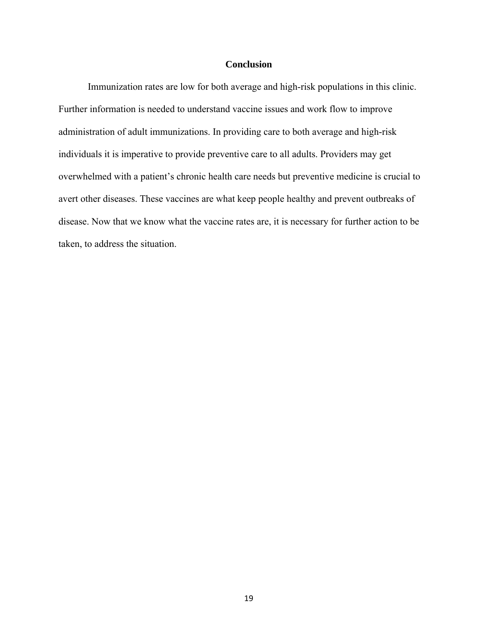#### **Conclusion**

 Immunization rates are low for both average and high-risk populations in this clinic. Further information is needed to understand vaccine issues and work flow to improve administration of adult immunizations. In providing care to both average and high-risk individuals it is imperative to provide preventive care to all adults. Providers may get overwhelmed with a patient's chronic health care needs but preventive medicine is crucial to avert other diseases. These vaccines are what keep people healthy and prevent outbreaks of disease. Now that we know what the vaccine rates are, it is necessary for further action to be taken, to address the situation.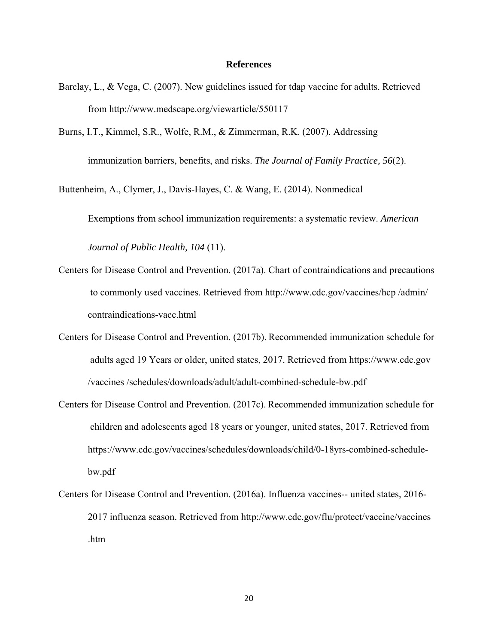#### **References**

- Barclay, L., & Vega, C. (2007). New guidelines issued for tdap vaccine for adults. Retrieved from http://www.medscape.org/viewarticle/550117
- Burns, I.T., Kimmel, S.R., Wolfe, R.M., & Zimmerman, R.K. (2007). Addressing immunization barriers, benefits, and risks. *The Journal of Family Practice, 56*(2).

Buttenheim, A., Clymer, J., Davis-Hayes, C. & Wang, E. (2014). Nonmedical

Exemptions from school immunization requirements: a systematic review. *American* 

 *Journal of Public Health, 104* (11).

- Centers for Disease Control and Prevention. (2017a). Chart of contraindications and precautions to commonly used vaccines. Retrieved from http://www.cdc.gov/vaccines/hcp /admin/ contraindications-vacc.html
- Centers for Disease Control and Prevention. (2017b). Recommended immunization schedule for adults aged 19 Years or older, united states, 2017. Retrieved from https://www.cdc.gov /vaccines /schedules/downloads/adult/adult-combined-schedule-bw.pdf
- Centers for Disease Control and Prevention. (2017c). Recommended immunization schedule for children and adolescents aged 18 years or younger, united states, 2017. Retrieved from https://www.cdc.gov/vaccines/schedules/downloads/child/0-18yrs-combined-schedulebw.pdf
- Centers for Disease Control and Prevention. (2016a). Influenza vaccines-- united states, 2016- 2017 influenza season. Retrieved from http://www.cdc.gov/flu/protect/vaccine/vaccines .htm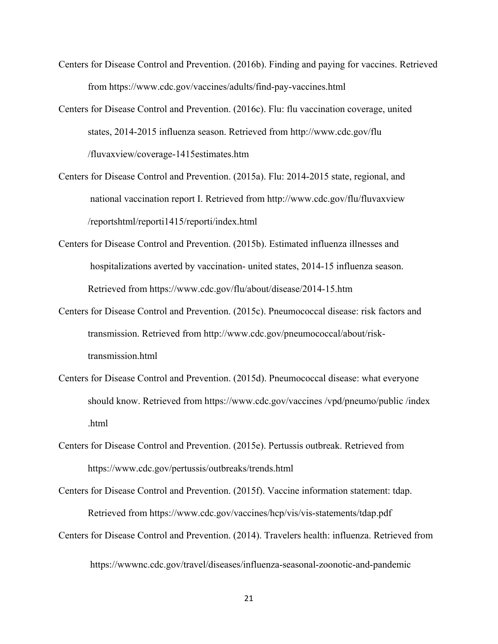- Centers for Disease Control and Prevention. (2016b). Finding and paying for vaccines. Retrieved from https://www.cdc.gov/vaccines/adults/find-pay-vaccines.html
- Centers for Disease Control and Prevention. (2016c). Flu: flu vaccination coverage, united states, 2014-2015 influenza season. Retrieved from http://www.cdc.gov/flu /fluvaxview/coverage-1415estimates.htm
- Centers for Disease Control and Prevention. (2015a). Flu: 2014-2015 state, regional, and national vaccination report I. Retrieved from http://www.cdc.gov/flu/fluvaxview /reportshtml/reporti1415/reporti/index.html
- Centers for Disease Control and Prevention. (2015b). Estimated influenza illnesses and hospitalizations averted by vaccination- united states, 2014-15 influenza season. Retrieved from https://www.cdc.gov/flu/about/disease/2014-15.htm
- Centers for Disease Control and Prevention. (2015c). Pneumococcal disease: risk factors and transmission. Retrieved from http://www.cdc.gov/pneumococcal/about/risktransmission.html
- Centers for Disease Control and Prevention. (2015d). Pneumococcal disease: what everyone should know. Retrieved from https://www.cdc.gov/vaccines /vpd/pneumo/public /index .html
- Centers for Disease Control and Prevention. (2015e). Pertussis outbreak. Retrieved from https://www.cdc.gov/pertussis/outbreaks/trends.html
- Centers for Disease Control and Prevention. (2015f). Vaccine information statement: tdap. Retrieved from https://www.cdc.gov/vaccines/hcp/vis/vis-statements/tdap.pdf
- Centers for Disease Control and Prevention. (2014). Travelers health: influenza. Retrieved from https://wwwnc.cdc.gov/travel/diseases/influenza-seasonal-zoonotic-and-pandemic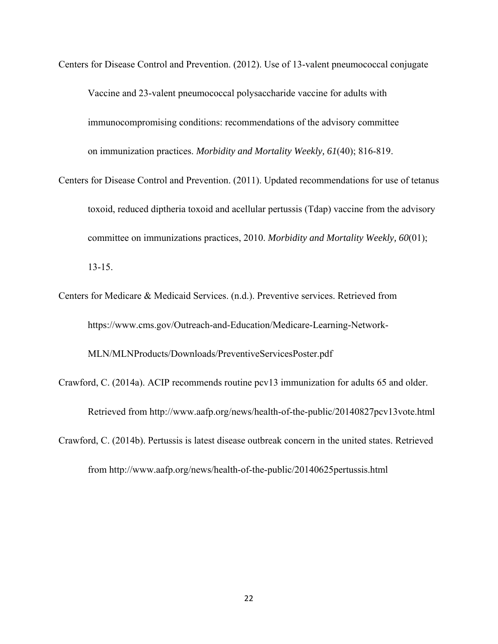Centers for Disease Control and Prevention. (2012). Use of 13-valent pneumococcal conjugate Vaccine and 23-valent pneumococcal polysaccharide vaccine for adults with immunocompromising conditions: recommendations of the advisory committee on immunization practices. *Morbidity and Mortality Weekly, 61*(40); 816-819.

- Centers for Disease Control and Prevention. (2011). Updated recommendations for use of tetanus toxoid, reduced diptheria toxoid and acellular pertussis (Tdap) vaccine from the advisory committee on immunizations practices, 2010. *Morbidity and Mortality Weekly, 60*(01); 13-15.
- Centers for Medicare & Medicaid Services. (n.d.). Preventive services. Retrieved from https://www.cms.gov/Outreach-and-Education/Medicare-Learning-Network-

MLN/MLNProducts/Downloads/PreventiveServicesPoster.pdf

- Crawford, C. (2014a). ACIP recommends routine pcv13 immunization for adults 65 and older. Retrieved from http://www.aafp.org/news/health-of-the-public/20140827pcv13vote.html
- Crawford, C. (2014b). Pertussis is latest disease outbreak concern in the united states. Retrieved from http://www.aafp.org/news/health-of-the-public/20140625pertussis.html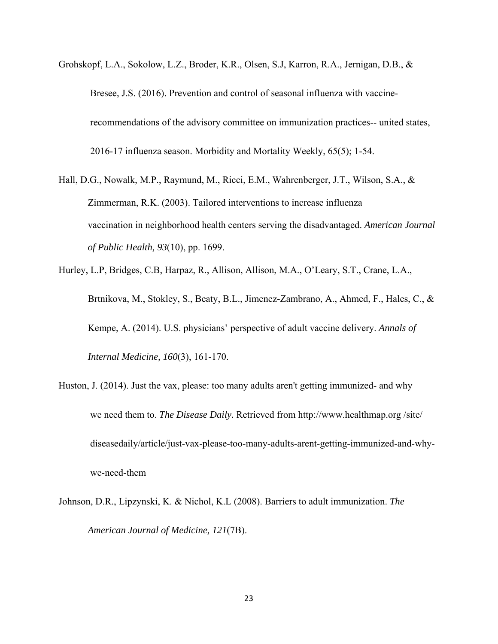- Grohskopf, L.A., Sokolow, L.Z., Broder, K.R., Olsen, S.J, Karron, R.A., Jernigan, D.B., & Bresee, J.S. (2016). Prevention and control of seasonal influenza with vaccine recommendations of the advisory committee on immunization practices-- united states, 2016-17 influenza season. Morbidity and Mortality Weekly, 65(5); 1-54.
- Hall, D.G., Nowalk, M.P., Raymund, M., Ricci, E.M., Wahrenberger, J.T., Wilson, S.A., & Zimmerman, R.K. (2003). Tailored interventions to increase influenza vaccination in neighborhood health centers serving the disadvantaged. *American Journal of Public Health, 93*(10), pp. 1699.

Hurley, L.P, Bridges, C.B, Harpaz, R., Allison, Allison, M.A., O'Leary, S.T., Crane, L.A., Brtnikova, M., Stokley, S., Beaty, B.L., Jimenez-Zambrano, A., Ahmed, F., Hales, C., & Kempe, A. (2014). U.S. physicians' perspective of adult vaccine delivery. *Annals of Internal Medicine, 160*(3), 161-170.

- Huston, J. (2014). Just the vax, please: too many adults aren't getting immunized- and why we need them to. *The Disease Daily.* Retrieved from http://www.healthmap.org /site/ diseasedaily/article/just-vax-please-too-many-adults-arent-getting-immunized-and-whywe-need-them
- Johnson, D.R., Lipzynski, K. & Nichol, K.L (2008). Barriers to adult immunization. *The American Journal of Medicine, 121*(7B).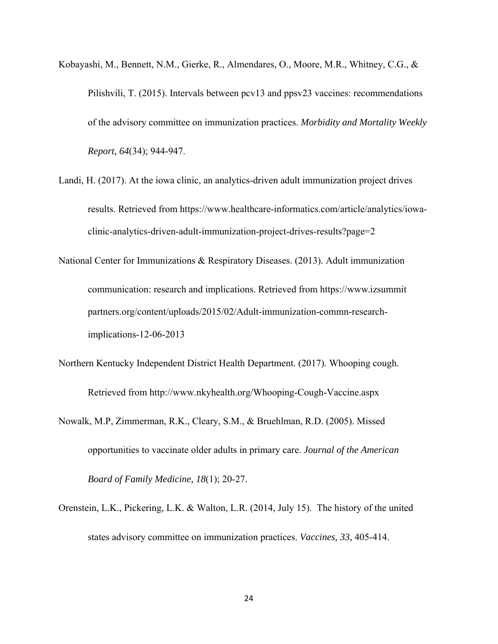- Kobayashi, M., Bennett, N.M., Gierke, R., Almendares, O., Moore, M.R., Whitney, C.G., & Pilishvili, T. (2015). Intervals between pcv13 and ppsv23 vaccines: recommendations of the advisory committee on immunization practices. *Morbidity and Mortality Weekly Report, 64*(34); 944-947.
- Landi, H. (2017). At the iowa clinic, an analytics-driven adult immunization project drives results. Retrieved from https://www.healthcare-informatics.com/article/analytics/iowa clinic-analytics-driven-adult-immunization-project-drives-results?page=2
- National Center for Immunizations & Respiratory Diseases. (2013). Adult immunization communication: research and implications. Retrieved from https://www.izsummit partners.org/content/uploads/2015/02/Adult-immunization-commn-researchimplications-12-06-2013
- Northern Kentucky Independent District Health Department. (2017). Whooping cough. Retrieved from http://www.nkyhealth.org/Whooping-Cough-Vaccine.aspx
- Nowalk, M.P, Zimmerman, R.K., Cleary, S.M., & Bruehlman, R.D. (2005). Missed opportunities to vaccinate older adults in primary care. *Journal of the American Board of Family Medicine, 18*(1); 20-27.
- Orenstein, L.K., Pickering, L.K. & Walton, L.R. (2014, July 15). The history of the united states advisory committee on immunization practices. *Vaccines, 33*, 405-414.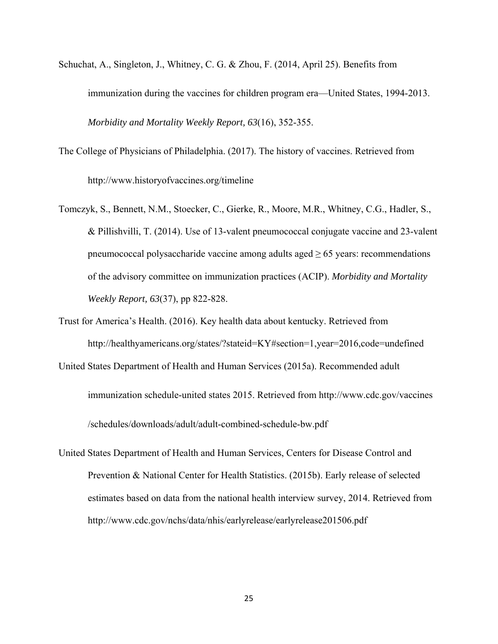- Schuchat, A., Singleton, J., Whitney, C. G. & Zhou, F. (2014, April 25). Benefits from immunization during the vaccines for children program era—United States, 1994-2013. *Morbidity and Mortality Weekly Report, 63*(16), 352-355.
- The College of Physicians of Philadelphia. (2017). The history of vaccines. Retrieved from http://www.historyofvaccines.org/timeline
- Tomczyk, S., Bennett, N.M., Stoecker, C., Gierke, R., Moore, M.R., Whitney, C.G., Hadler, S., & Pillishvilli, T. (2014). Use of 13-valent pneumococcal conjugate vaccine and 23-valent pneumococcal polysaccharide vaccine among adults aged  $\geq 65$  years: recommendations of the advisory committee on immunization practices (ACIP). *Morbidity and Mortality Weekly Report, 63*(37), pp 822-828.
- Trust for America's Health. (2016). Key health data about kentucky. Retrieved from http://healthyamericans.org/states/?stateid=KY#section=1,year=2016,code=undefined
- United States Department of Health and Human Services (2015a). Recommended adult immunization schedule-united states 2015. Retrieved from http://www.cdc.gov/vaccines /schedules/downloads/adult/adult-combined-schedule-bw.pdf
- United States Department of Health and Human Services, Centers for Disease Control and Prevention & National Center for Health Statistics. (2015b). Early release of selected estimates based on data from the national health interview survey, 2014. Retrieved from http://www.cdc.gov/nchs/data/nhis/earlyrelease/earlyrelease201506.pdf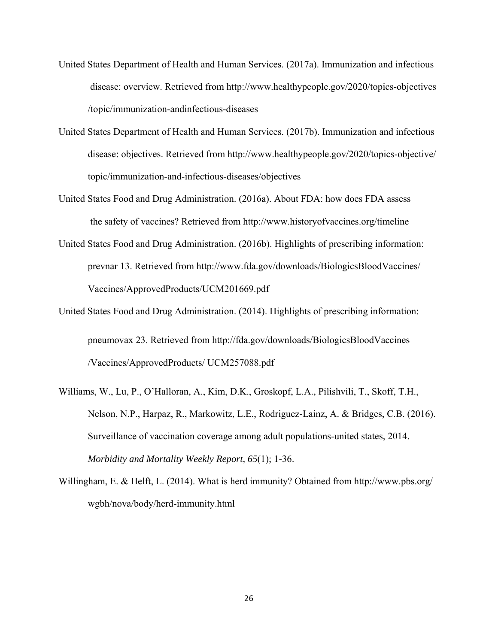- United States Department of Health and Human Services. (2017a). Immunization and infectious disease: overview. Retrieved from http://www.healthypeople.gov/2020/topics-objectives /topic/immunization-andinfectious-diseases
- United States Department of Health and Human Services. (2017b). Immunization and infectious disease: objectives. Retrieved from http://www.healthypeople.gov/2020/topics-objective/ topic/immunization-and-infectious-diseases/objectives
- United States Food and Drug Administration. (2016a). About FDA: how does FDA assess the safety of vaccines? Retrieved from http://www.historyofvaccines.org/timeline
- United States Food and Drug Administration. (2016b). Highlights of prescribing information: prevnar 13. Retrieved from http://www.fda.gov/downloads/BiologicsBloodVaccines/ Vaccines/ApprovedProducts/UCM201669.pdf
- United States Food and Drug Administration. (2014). Highlights of prescribing information: pneumovax 23. Retrieved from http://fda.gov/downloads/BiologicsBloodVaccines /Vaccines/ApprovedProducts/ UCM257088.pdf
- Williams, W., Lu, P., O'Halloran, A., Kim, D.K., Groskopf, L.A., Pilishvili, T., Skoff, T.H., Nelson, N.P., Harpaz, R., Markowitz, L.E., Rodriguez-Lainz, A. & Bridges, C.B. (2016). Surveillance of vaccination coverage among adult populations-united states, 2014.  *Morbidity and Mortality Weekly Report, 65*(1); 1-36.
- Willingham, E. & Helft, L. (2014). What is herd immunity? Obtained from http://www.pbs.org/ wgbh/nova/body/herd-immunity.html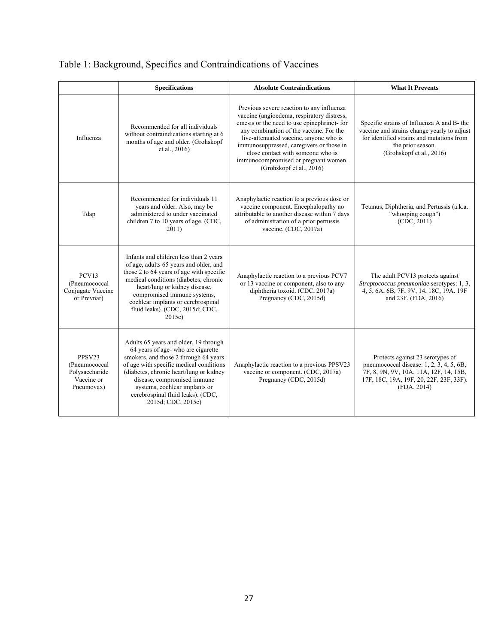|                                                                       | <b>Specifications</b>                                                                                                                                                                                                                                                                                                                  | <b>Absolute Contraindications</b>                                                                                                                                                                                                                                                                                                                                                | <b>What It Prevents</b>                                                                                                                                                                 |
|-----------------------------------------------------------------------|----------------------------------------------------------------------------------------------------------------------------------------------------------------------------------------------------------------------------------------------------------------------------------------------------------------------------------------|----------------------------------------------------------------------------------------------------------------------------------------------------------------------------------------------------------------------------------------------------------------------------------------------------------------------------------------------------------------------------------|-----------------------------------------------------------------------------------------------------------------------------------------------------------------------------------------|
| Influenza                                                             | Recommended for all individuals<br>without contraindications starting at 6<br>months of age and older. (Grohskopf<br>et al., 2016                                                                                                                                                                                                      | Previous severe reaction to any influenza<br>vaccine (angioedema, respiratory distress,<br>emesis or the need to use epinephrine)- for<br>any combination of the vaccine. For the<br>live-attenuated vaccine, anyone who is<br>immunosuppressed, caregivers or those in<br>close contact with someone who is<br>immunocompromised or pregnant women.<br>(Grohskopf et al., 2016) | Specific strains of Influenza A and B- the<br>vaccine and strains change yearly to adjust<br>for identified strains and mutations from<br>the prior season.<br>(Grohskopf et al., 2016) |
| Tdap                                                                  | Recommended for individuals 11<br>years and older. Also, may be<br>administered to under vaccinated<br>children 7 to 10 years of age. (CDC,<br>2011)                                                                                                                                                                                   | Anaphylactic reaction to a previous dose or<br>vaccine component. Encephalopathy no<br>attributable to another disease within 7 days<br>of administration of a prior pertussis<br>vaccine. (CDC, 2017a)                                                                                                                                                                          | Tetanus, Diphtheria, and Pertussis (a.k.a.<br>"whooping cough")<br>(CDC, 2011)                                                                                                          |
| PCV13<br>(Pneumococcal<br>Conjugate Vaccine<br>or Prevnar)            | Infants and children less than 2 years<br>of age, adults 65 years and older, and<br>those 2 to 64 years of age with specific<br>medical conditions (diabetes, chronic<br>heart/lung or kidney disease,<br>compromised immune systems.<br>cochlear implants or cerebrospinal<br>fluid leaks). (CDC, 2015d; CDC,<br>$2015c$ )            | Anaphylactic reaction to a previous PCV7<br>or 13 vaccine or component, also to any<br>diphtheria toxoid. (CDC, 2017a)<br>Pregnancy (CDC, 2015d)                                                                                                                                                                                                                                 | The adult PCV13 protects against<br>Streptococcus pneumoniae serotypes: 1, 3,<br>4, 5, 6A, 6B, 7F, 9V, 14, 18C, 19A. 19F<br>and 23F. (FDA, 2016)                                        |
| PPSV23<br>(Pneumococcal<br>Polysaccharide<br>Vaccine or<br>Pneumovax) | Adults 65 years and older, 19 through<br>64 years of age- who are cigarette<br>smokers, and those 2 through 64 years<br>of age with specific medical conditions<br>(diabetes, chronic heart/lung or kidney)<br>disease, compromised immune<br>systems, cochlear implants or<br>cerebrospinal fluid leaks). (CDC,<br>2015d; CDC, 2015c) | Anaphylactic reaction to a previous PPSV23<br>vaccine or component. (CDC, 2017a)<br>Pregnancy (CDC, 2015d)                                                                                                                                                                                                                                                                       | Protects against 23 serotypes of<br>pneumococcal disease: 1, 2, 3, 4, 5, 6B,<br>7F, 8, 9N, 9V, 10A, 11A, 12F, 14, 15B,<br>17F, 18C, 19A, 19F, 20, 22F, 23F, 33F).<br>(FDA, 2014)        |

# Table 1: Background, Specifics and Contraindications of Vaccines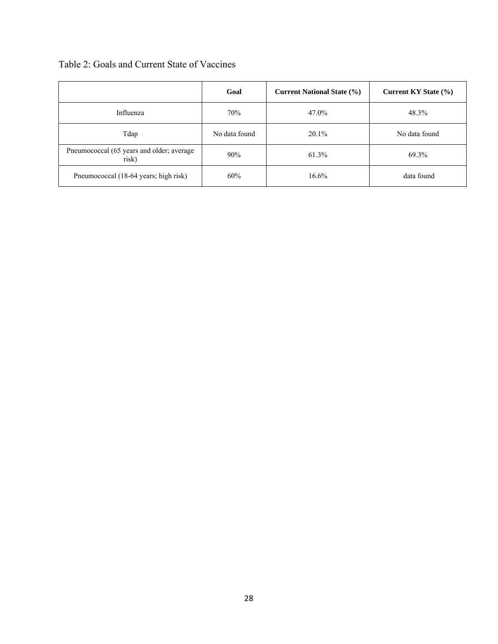|  |  |  |  |  |  | Table 2: Goals and Current State of Vaccines |
|--|--|--|--|--|--|----------------------------------------------|
|--|--|--|--|--|--|----------------------------------------------|

|                                                    | Goal          | <b>Current National State (%)</b> | Current KY State (%) |
|----------------------------------------------------|---------------|-----------------------------------|----------------------|
| Influenza                                          | 70%           | 47.0%                             | 48.3%                |
| Tdap                                               | No data found | 20.1%                             | No data found        |
| Pneumococcal (65 years and older; average<br>risk) | 90%           | 61.3%                             | 69.3%                |
| Pneumococcal (18-64 years; high risk)              | 60%           | 16.6%                             | data found           |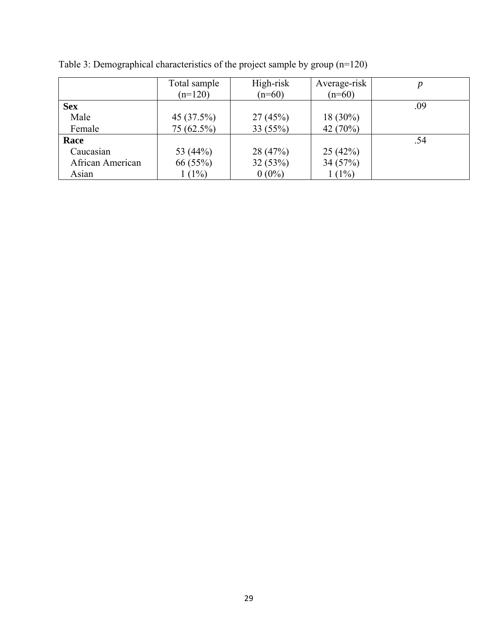|                  | Total sample<br>$(n=120)$ | High-risk<br>$(n=60)$ | Average-risk<br>$(n=60)$ | $\boldsymbol{p}$ |
|------------------|---------------------------|-----------------------|--------------------------|------------------|
| <b>Sex</b>       |                           |                       |                          | .09              |
| Male             | 45 (37.5%)                | 27(45%)               | $18(30\%)$               |                  |
| Female           | 75 (62.5%)                | 33(55%)               | 42 (70%)                 |                  |
| Race             |                           |                       |                          | .54              |
| Caucasian        | 53 (44%)                  | 28 (47%)              | 25(42%)                  |                  |
| African American | 66 (55%)                  | 32(53%)               | 34(57%)                  |                  |
| Asian            | $1(1\%)$                  | $0(0\%)$              | $1(1\%)$                 |                  |

Table 3: Demographical characteristics of the project sample by group (n=120)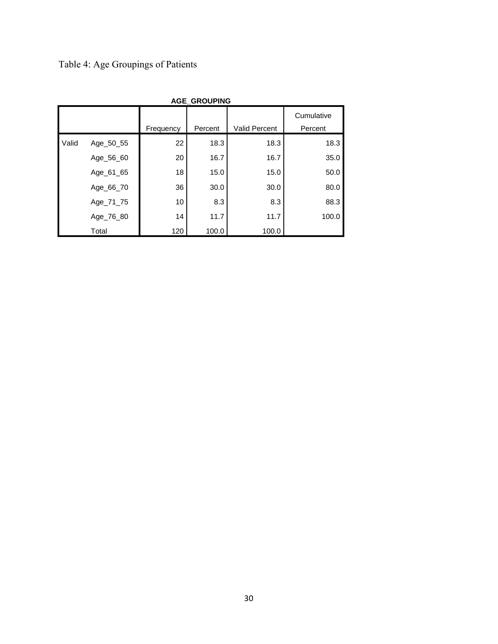Table 4: Age Groupings of Patients

|       | <b>AGE_GROUPING</b> |           |         |                      |            |  |  |
|-------|---------------------|-----------|---------|----------------------|------------|--|--|
|       |                     |           |         |                      | Cumulative |  |  |
|       |                     | Frequency | Percent | <b>Valid Percent</b> | Percent    |  |  |
| Valid | Age_50_55           | 22        | 18.3    | 18.3                 | 18.3       |  |  |
|       | Age_56_60           | 20        | 16.7    | 16.7                 | 35.0       |  |  |
|       | Age_61_65           | 18        | 15.0    | 15.0                 | 50.0       |  |  |
|       | Age_66_70           | 36        | 30.0    | 30.0                 | 80.0       |  |  |
|       | Age_71_75           | 10        | 8.3     | 8.3                  | 88.3       |  |  |
|       | Age_76_80           | 14        | 11.7    | 11.7                 | 100.0      |  |  |
|       | Total               | 120       | 100.0   | 100.0                |            |  |  |

30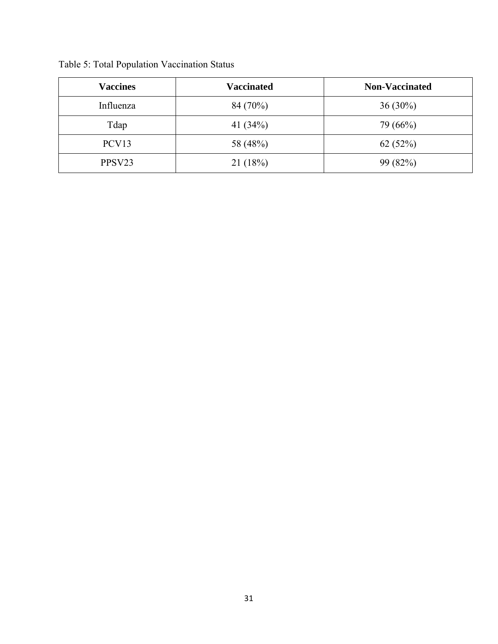| <b>Vaccines</b>    | <b>Vaccinated</b> | <b>Non-Vaccinated</b> |
|--------------------|-------------------|-----------------------|
| Influenza          | 84 (70%)          | $36(30\%)$            |
| Tdap               | 41 $(34%)$        | 79 (66%)              |
| PCV <sub>13</sub>  | 58 (48%)          | 62(52%)               |
| PPSV <sub>23</sub> | 21(18%)           | 99 (82%)              |

Table 5: Total Population Vaccination Status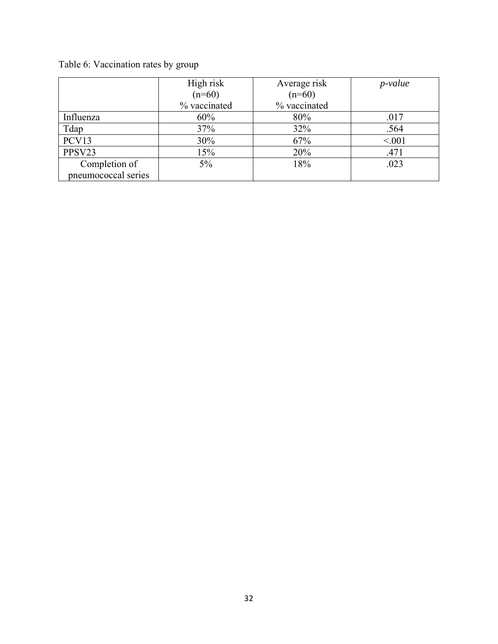## Table 6: Vaccination rates by group

|                     | High risk    | Average risk | <i>p</i> -value |
|---------------------|--------------|--------------|-----------------|
|                     | $(n=60)$     | $(n=60)$     |                 |
|                     | % vaccinated | % vaccinated |                 |
| Influenza           | 60%          | 80%          | .017            |
| Tdap                | 37%          | 32%          | .564            |
| PCV13               | 30%          | 67%          | < 0.01          |
| PPSV23              | 15%          | 20%          | .471            |
| Completion of       | $5\%$        | 18%          | .023            |
| pneumococcal series |              |              |                 |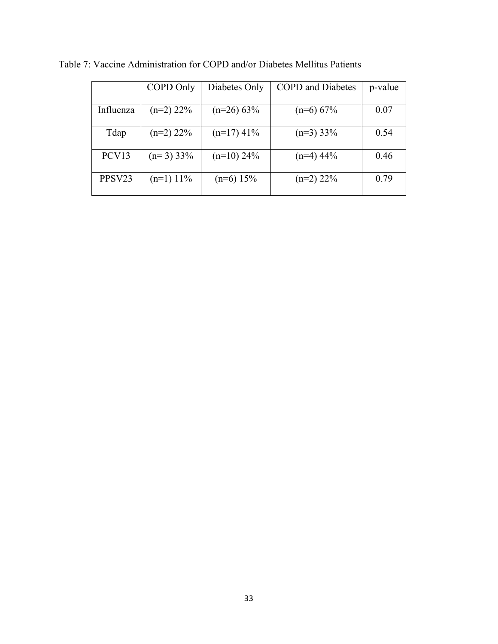|                    | COPD Only   | Diabetes Only | <b>COPD</b> and Diabetes | p-value |
|--------------------|-------------|---------------|--------------------------|---------|
| Influenza          | $(n=2)$ 22% | $(n=26)$ 63%  | $(n=6)$ 67%              | 0.07    |
| Tdap               | $(n=2)$ 22% | $(n=17)$ 41%  | $(n=3)$ 33%              | 0.54    |
| PCV13              | $(n=3)$ 33% | $(n=10)$ 24%  | $(n=4)$ 44%              | 0.46    |
| PPSV <sub>23</sub> | $(n=1)$ 11% | $(n=6)$ 15%   | $(n=2)$ 22%              | 0.79    |

Table 7: Vaccine Administration for COPD and/or Diabetes Mellitus Patients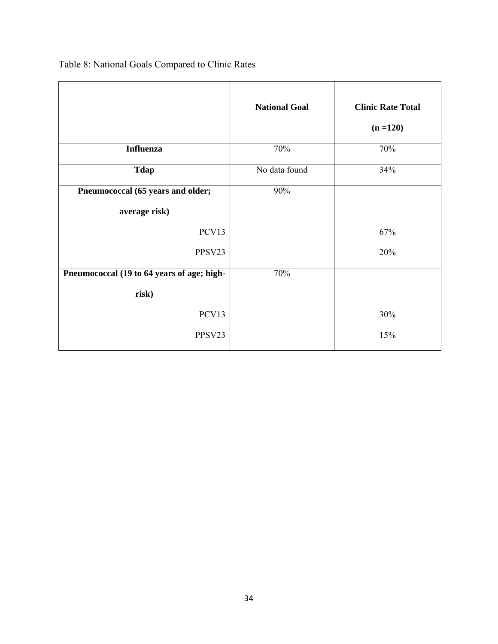|                                            | <b>National Goal</b> | <b>Clinic Rate Total</b><br>$(n = 120)$ |
|--------------------------------------------|----------------------|-----------------------------------------|
| <b>Influenza</b>                           | 70%                  | 70%                                     |
| <b>Tdap</b>                                | No data found        | 34%                                     |
| Pneumococcal (65 years and older;          | 90%                  |                                         |
| average risk)                              |                      |                                         |
| PCV13                                      |                      | 67%                                     |
| PPSV23                                     |                      | 20%                                     |
| Pneumococcal (19 to 64 years of age; high- | 70%                  |                                         |
| risk)                                      |                      |                                         |
| PCV13                                      |                      | 30%                                     |
| PPSV23                                     |                      | 15%                                     |

Table 8: National Goals Compared to Clinic Rates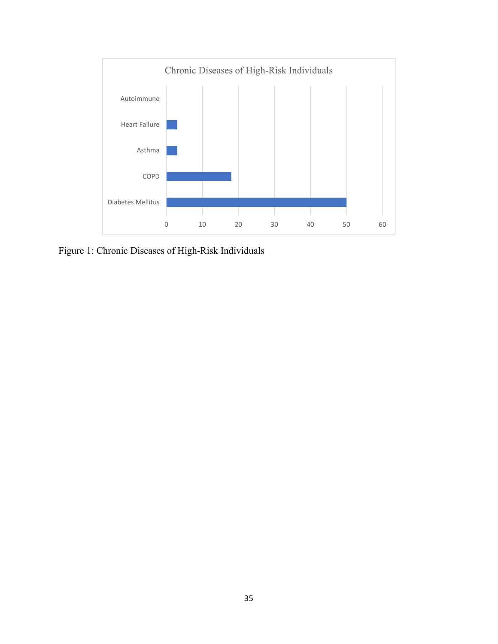

Figure 1: Chronic Diseases of High-Risk Individuals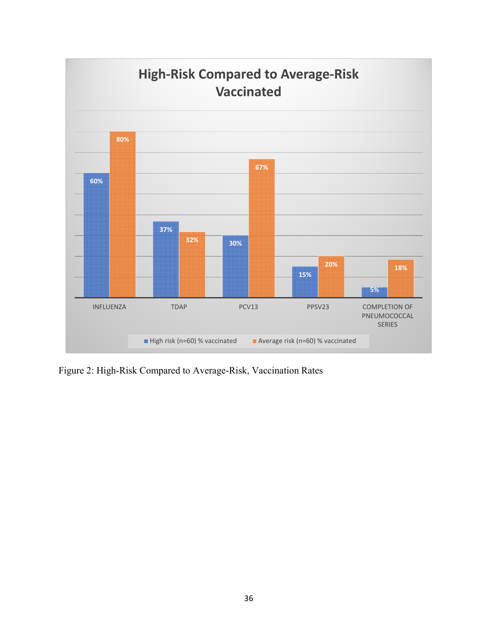

Figure 2: High-Risk Compared to Average-Risk, Vaccination Rates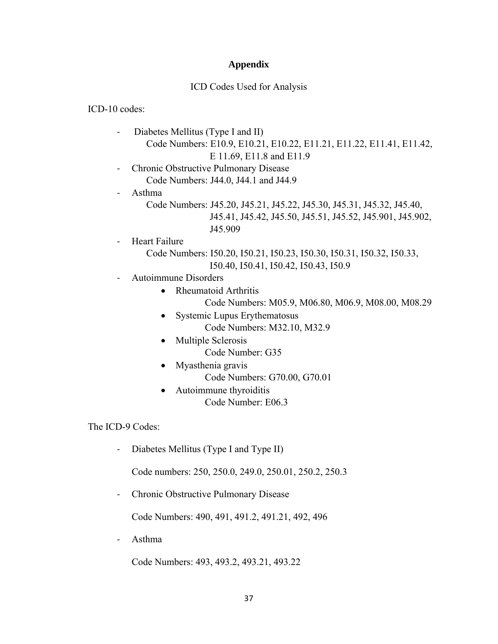### **Appendix**

### ICD Codes Used for Analysis

ICD-10 codes:

- ‐ Diabetes Mellitus (Type I and II) Code Numbers: E10.9, E10.21, E10.22, E11.21, E11.22, E11.41, E11.42, E 11.69, E11.8 and E11.9
- ‐ Chronic Obstructive Pulmonary Disease Code Numbers: J44.0, J44.1 and J44.9

‐ Asthma

- Code Numbers: J45.20, J45.21, J45.22, J45.30, J45.31, J45.32, J45.40, J45.41, J45.42, J45.50, J45.51, J45.52, J45.901, J45.902, J45.909
- ‐ Heart Failure
	- Code Numbers: I50.20, I50.21, I50.23, I50.30, I50.31, I50.32, I50.33, I50.40, I50.41, I50.42, I50.43, I50.9
- ‐ Autoimmune Disorders
	- Rheumatoid Arthritis
		- Code Numbers: M05.9, M06.80, M06.9, M08.00, M08.29
	- Systemic Lupus Erythematosus
		- Code Numbers: M32.10, M32.9
	- Multiple Sclerosis
		- Code Number: G35
	- Myasthenia gravis
		- Code Numbers: G70.00, G70.01
	- Autoimmune thyroiditis Code Number: E06.3

The ICD-9 Codes:

‐ Diabetes Mellitus (Type I and Type II)

Code numbers: 250, 250.0, 249.0, 250.01, 250.2, 250.3

‐ Chronic Obstructive Pulmonary Disease

Code Numbers: 490, 491, 491.2, 491.21, 492, 496

‐ Asthma

Code Numbers: 493, 493.2, 493.21, 493.22